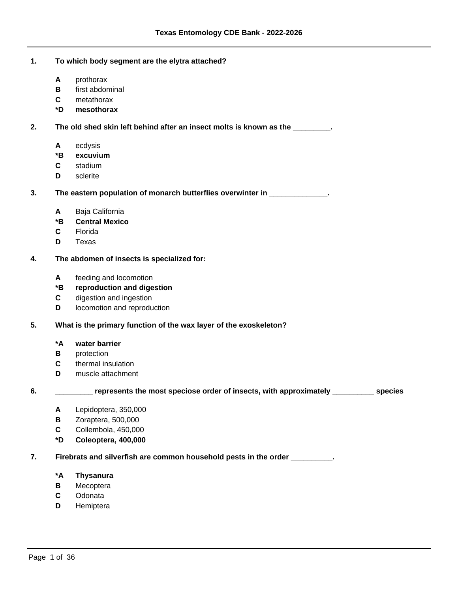# **1. To which body segment are the elytra attached?**

- **A** prothorax
- **B** first abdominal
- **C** metathorax
- **\*D mesothorax**

 **2. The old shed skin left behind after an insect molts is known as the \_\_\_\_\_\_\_\_\_.**

- **A** ecdysis
- **\*B excuvium**
- **C** stadium
- **D** sclerite

 **3. The eastern population of monarch butterflies overwinter in \_\_\_\_\_\_\_\_\_\_\_\_\_\_.**

- **A** Baja California
- **\*B Central Mexico**
- **C** Florida
- **D** Texas

## **4. The abdomen of insects is specialized for:**

**A** feeding and locomotion

# **\*B reproduction and digestion**

- **C** digestion and ingestion
- **D** locomotion and reproduction

## **5. What is the primary function of the wax layer of the exoskeleton?**

### **\*A water barrier**

- **B** protection
- **C** thermal insulation
- **D** muscle attachment

 **6. \_\_\_\_\_\_\_\_\_ represents the most speciose order of insects, with approximately \_\_\_\_\_\_\_\_\_\_ species**

- **A** Lepidoptera, 350,000
- **B** Zoraptera, 500,000
- **C** Collembola, 450,000
- **\*D Coleoptera, 400,000**

 **7. Firebrats and silverfish are common household pests in the order \_\_\_\_\_\_\_\_\_\_.**

- **\*A Thysanura**
- **B** Mecoptera
- **C** Odonata
- **D** Hemiptera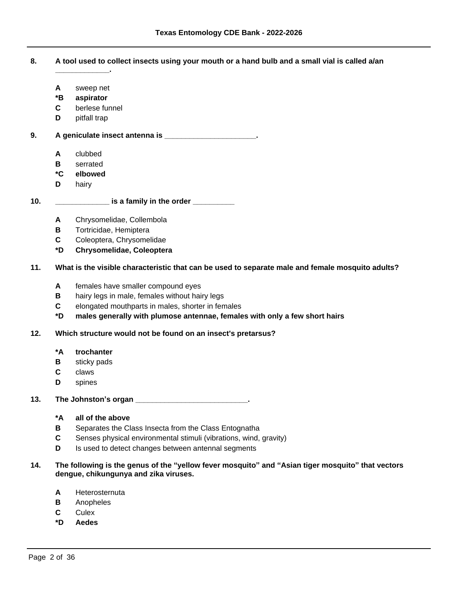- **8. A tool used to collect insects using your mouth or a hand bulb and a small vial is called a/an** 
	- **A** sweep net

**\_\_\_\_\_\_\_\_\_\_\_\_\_.**

- **\*B aspirator**
- **C** berlese funnel
- **D** pitfall trap

 **9. A geniculate insect antenna is \_\_\_\_\_\_\_\_\_\_\_\_\_\_\_\_\_\_\_\_\_\_.**

- **A** clubbed
- **B** serrated
- **\*C elbowed**
- **D** hairy

# **10. \_\_\_\_\_\_\_\_\_\_\_\_\_ is a family in the order \_\_\_\_\_\_\_\_\_\_**

- **A** Chrysomelidae, Collembola
- **B** Tortricidae, Hemiptera
- **C** Coleoptera, Chrysomelidae
- **\*D Chrysomelidae, Coleoptera**

# **11. What is the visible characteristic that can be used to separate male and female mosquito adults?**

- **A** females have smaller compound eyes
- **B** hairy legs in male, females without hairy legs
- **C** elongated mouthparts in males, shorter in females
- **\*D males generally with plumose antennae, females with only a few short hairs**

### **12. Which structure would not be found on an insect's pretarsus?**

- **\*A trochanter**
- **B** sticky pads
- **C** claws
- **D** spines

## **13. The Johnston¶s organ \_\_\_\_\_\_\_\_\_\_\_\_\_\_\_\_\_\_\_\_\_\_\_\_\_\_\_.**

- **\*A all of the above**
- **B** Separates the Class Insecta from the Class Entognatha
- **C** Senses physical environmental stimuli (vibrations, wind, gravity)
- **D** Is used to detect changes between antennal segments

### **14. The following is the genus of the ³yellow fever mosquito´and ³Asian tiger mosquito´that vectors dengue, chikungunya and zika viruses.**

- **A** Heterosternuta
- **B** Anopheles
- **C** Culex
- **\*D Aedes**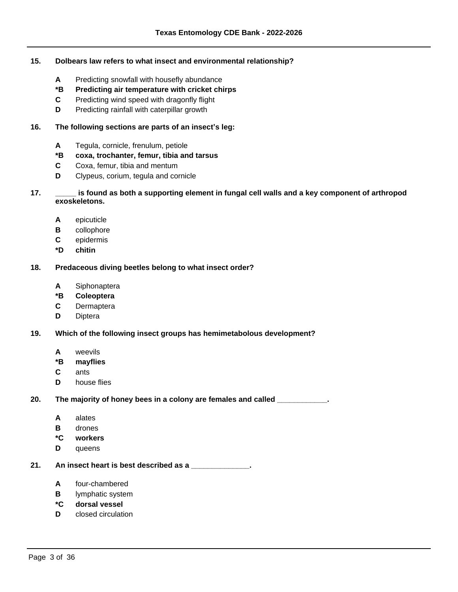## **15. Dolbears law refers to what insect and environmental relationship?**

- **A** Predicting snowfall with housefly abundance
- **\*B Predicting air temperature with cricket chirps**
- **C** Predicting wind speed with dragonfly flight
- **D** Predicting rainfall with caterpillar growth

## **16.** The following sections are parts of an insect's leg:

- **A** Tegula, cornicle, frenulum, petiole
- **\*B coxa, trochanter, femur, tibia and tarsus**
- **C** Coxa, femur, tibia and mentum
- **D** Clypeus, corium, tegula and cornicle
- **17. \_\_\_\_\_ is found as both a supporting element in fungal cell walls and a key component of arthropod exoskeletons.**
	- **A** epicuticle
	- **B** collophore
	- **C** epidermis
	- **\*D chitin**

# **18. Predaceous diving beetles belong to what insect order?**

- **A** Siphonaptera
- **\*B Coleoptera**
- **C** Dermaptera
- **D** Diptera
- **19. Which of the following insect groups has hemimetabolous development?**
	- **A** weevils
	- **\*B mayflies**
	- **C** ants
	- **D** house flies

 **20. The majority of honey bees in a colony are females and called \_\_\_\_\_\_\_\_\_\_\_\_.**

- **A** alates
- **B** drones
- **\*C workers**
- **D** queens
- **21. An insect heart is best described as a \_\_\_\_\_\_\_\_\_\_\_\_\_\_.**
	- **A** four-chambered
	- **B** lymphatic system
	- **\*C dorsal vessel**
	- **D** closed circulation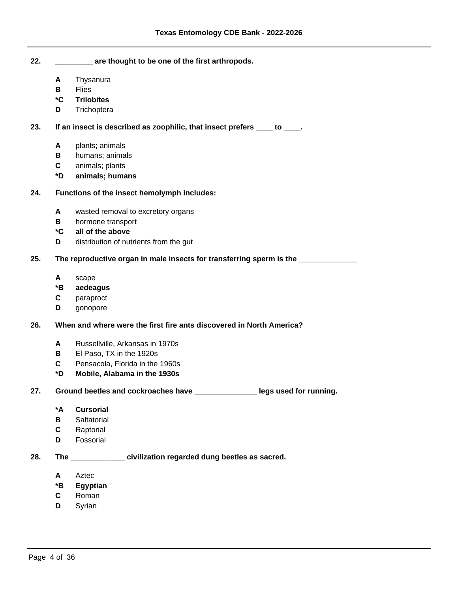**22. \_\_\_\_\_\_\_\_\_ are thought to be one of the first arthropods.**

- **A** Thysanura
- **B** Flies
- **\*C Trilobites**
- **D** Trichoptera

# **23. If an insect is described as zoophilic, that insect prefers \_\_\_\_ to \_\_\_\_.**

- **A** plants; animals
- **B** humans; animals
- **C** animals; plants
- **\*D animals; humans**

# **24. Functions of the insect hemolymph includes:**

- **A** wasted removal to excretory organs
- **B** hormone transport
- **\*C all of the above**
- **D** distribution of nutrients from the gut

# **25. The reproductive organ in male insects for transferring sperm is the \_\_\_\_\_\_\_\_\_\_\_\_\_\_**

- **A** scape
- **\*B aedeagus**
- **C** paraproct
- **D** gonopore

## **26. When and where were the first fire ants discovered in North America?**

- **A** Russellville, Arkansas in 1970s
- **B** El Paso, TX in the 1920s
- **C** Pensacola, Florida in the 1960s
- **\*D Mobile, Alabama in the 1930s**
- **27. Ground beetles and cockroaches have \_\_\_\_\_\_\_\_\_\_\_\_\_\_\_ legs used for running.**
	- **\*A Cursorial**
	- **B** Saltatorial
	- **C** Raptorial
	- **D** Fossorial

# **28. The \_\_\_\_\_\_\_\_\_\_\_\_\_ civilization regarded dung beetles as sacred.**

- **A** Aztec
- **\*B Egyptian**
- **C** Roman
- **D** Syrian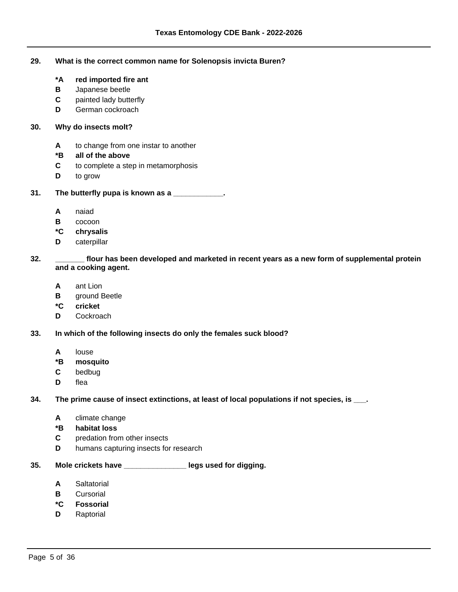### **29. What is the correct common name for Solenopsis invicta Buren?**

- **\*A red imported fire ant**
- **B** Japanese beetle
- **C** painted lady butterfly
- **D** German cockroach

## **30. Why do insects molt?**

- **A** to change from one instar to another
- **\*B all of the above**
- **C** to complete a step in metamorphosis
- **D** to grow

# **31. The butterfly pupa is known as a \_\_\_\_\_\_\_\_\_\_\_\_.**

- **A** naiad
- **B** cocoon
- **\*C chrysalis**
- **D** caterpillar

# **32. \_\_\_\_\_\_\_ flour has been developed and marketed in recent years as a new form of supplemental protein and a cooking agent.**

- **A** ant Lion
- **B** ground Beetle
- **\*C cricket**
- **D** Cockroach
- **33. In which of the following insects do only the females suck blood?**
	- **A** louse
	- **\*B mosquito**
	- **C** bedbug
	- **D** flea

### **34. The prime cause of insect extinctions, at least of local populations if not species, is \_\_\_.**

- **A** climate change
- **\*B habitat loss**
- **C** predation from other insects
- **D** humans capturing insects for research

# **35. Mole crickets have \_\_\_\_\_\_\_\_\_\_\_\_\_\_\_ legs used for digging.**

- **A** Saltatorial
- **B** Cursorial
- **\*C Fossorial**
- **D** Raptorial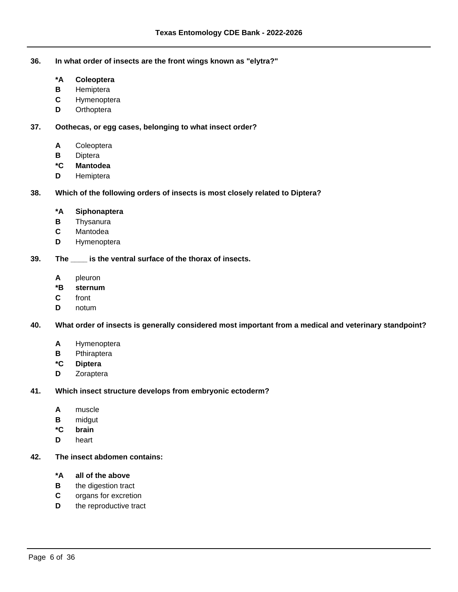**36. In what order of insects are the front wings known as "elytra?"**

- **\*A Coleoptera**
- **B** Hemiptera
- **C** Hymenoptera
- **D** Orthoptera

 **37. Oothecas, or egg cases, belonging to what insect order?**

- **A** Coleoptera
- **B** Diptera
- **\*C Mantodea**
- **D** Hemiptera

 **38. Which of the following orders of insects is most closely related to Diptera?**

- **\*A Siphonaptera**
- **B** Thysanura
- **C** Mantodea
- **D** Hymenoptera

 **39. The \_\_\_\_ is the ventral surface of the thorax of insects.**

- **A** pleuron
- **\*B sternum**
- **C** front
- **D** notum

 **40. What order of insects is generally considered most important from a medical and veterinary standpoint?**

- **A** Hymenoptera
- **B** Pthiraptera
- **\*C Diptera**
- **D** Zoraptera

 **41. Which insect structure develops from embryonic ectoderm?**

- **A** muscle
- **B** midgut
- **\*C brain**
- **D** heart
- **42. The insect abdomen contains:**
	- **\*A all of the above**
	- **B** the digestion tract
	- **C** organs for excretion
	- **D** the reproductive tract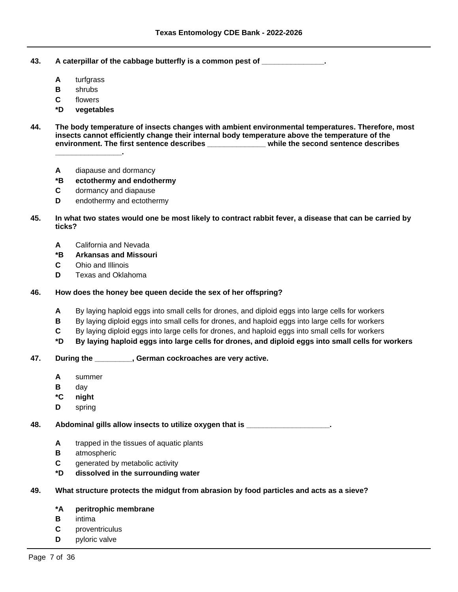- **43. A caterpillar of the cabbage butterfly is a common pest of \_\_\_\_\_\_\_\_\_\_\_\_\_\_\_.**
	- **A** turfgrass
	- **B** shrubs
	- **C** flowers
	- **\*D vegetables**
- **44. The body temperature of insects changes with ambient environmental temperatures. Therefore, most insects cannot efficiently change their internal body temperature above the temperature of the environment. The first sentence describes \_\_\_\_\_\_\_\_\_\_\_\_\_\_ while the second sentence describes \_\_\_\_\_\_\_\_\_\_\_\_\_\_\_\_.**
	- **A** diapause and dormancy
	- **\*B ectothermy and endothermy**
	- **C** dormancy and diapause
	- **D** endothermy and ectothermy
- **45. In what two states would one be most likely to contract rabbit fever, a disease that can be carried by ticks?**
	- **A** California and Nevada
	- **\*B Arkansas and Missouri**
	- **C** Ohio and Illinois
	- **D** Texas and Oklahoma

## **46. How does the honey bee queen decide the sex of her offspring?**

- **A** By laying haploid eggs into small cells for drones, and diploid eggs into large cells for workers
- **B** By laying diploid eggs into small cells for drones, and haploid eggs into large cells for workers
- **C** By laying diploid eggs into large cells for drones, and haploid eggs into small cells for workers
- **\*D By laying haploid eggs into large cells for drones, and diploid eggs into small cells for workers**

## **47. During the \_\_\_\_\_\_\_\_\_, German cockroaches are very active.**

- **A** summer
- **B** day
- **\*C night**
- **D** spring

 **48. Abdominal gills allow insects to utilize oxygen that is \_\_\_\_\_\_\_\_\_\_\_\_\_\_\_\_\_\_\_\_.**

- **A** trapped in the tissues of aquatic plants
- **B** atmospheric
- **C** generated by metabolic activity
- **\*D dissolved in the surrounding water**

# **49. What structure protects the midgut from abrasion by food particles and acts as a sieve?**

# **\*A peritrophic membrane**

- **B** intima
- **C** proventriculus
- **D** pyloric valve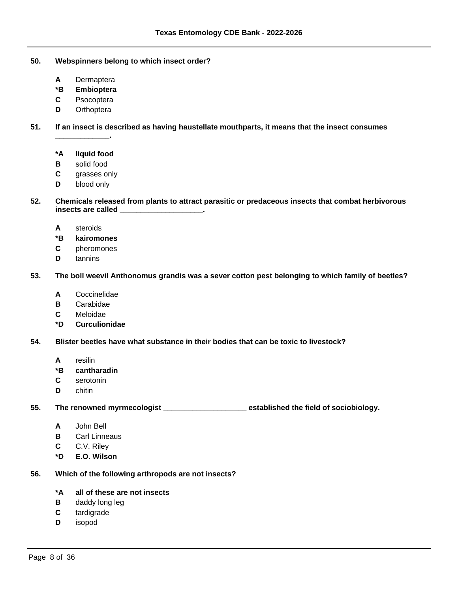- **50. Webspinners belong to which insect order?**
	- **A** Dermaptera
	- **\*B Embioptera**
	- **C** Psocoptera
	- **D** Orthoptera

 **51. If an insect is described as having haustellate mouthparts, it means that the insect consumes** 

**\*A liquid food**

**\_\_\_\_\_\_\_\_\_\_\_\_\_.**

- **B** solid food
- **C** grasses only
- **D** blood only
- **52. Chemicals released from plants to attract parasitic or predaceous insects that combat herbivorous insects are called \_\_\_\_\_\_\_\_\_\_\_\_\_\_\_\_\_\_\_\_.**
	- **A** steroids
	- **\*B kairomones**
	- **C** pheromones
	- **D** tannins

 **53. The boll weevil Anthonomus grandis was a sever cotton pest belonging to which family of beetles?**

- **A** Coccinelidae
- **B** Carabidae
- **C** Meloidae
- **\*D Curculionidae**

 **54. Blister beetles have what substance in their bodies that can be toxic to livestock?**

- **A** resilin
- **\*B cantharadin**
- **C** serotonin
- **D** chitin

 **55. The renowned myrmecologist \_\_\_\_\_\_\_\_\_\_\_\_\_\_\_\_\_\_\_\_ established the field of sociobiology.**

- **A** John Bell
- **B** Carl Linneaus
- **C** C.V. Riley
- **\*D E.O. Wilson**

#### **56. Which of the following arthropods are not insects?**

- **\*A all of these are not insects**
- **B** daddy long leg
- **C** tardigrade
- **D** isopod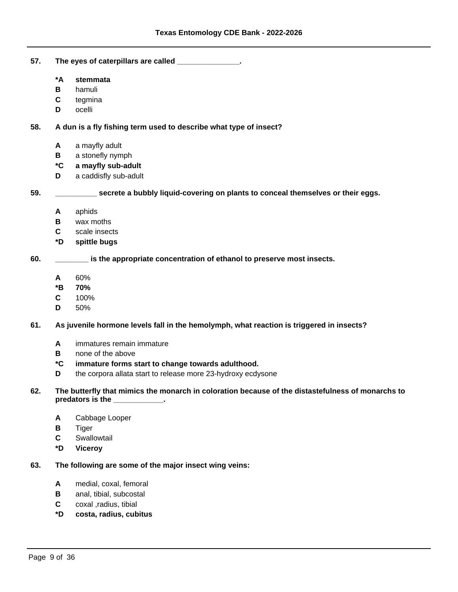- **57. The eyes of caterpillars are called \_\_\_\_\_\_\_\_\_\_\_\_\_\_\_.**
	- **\*A stemmata**
	- **B** hamuli
	- **C** tegmina
	- **D** ocelli

 **58. A dun is a fly fishing term used to describe what type of insect?**

- **A** a mayfly adult
- **B** a stonefly nymph
- **\*C a mayfly sub-adult**
- **D** a caddisfly sub-adult

 **59. \_\_\_\_\_\_\_\_\_\_ secrete a bubbly liquid-covering on plants to conceal themselves or their eggs.**

- **A** aphids
- **B** wax moths
- **C** scale insects
- **\*D spittle bugs**

 **60. \_\_\_\_\_\_\_\_ is the appropriate concentration of ethanol to preserve most insects.**

- **A** 60%
- **\*B 70%**
- **C** 100%
- **D** 50%

 **61. As juvenile hormone levels fall in the hemolymph, what reaction is triggered in insects?**

- **A** immatures remain immature
- **B** none of the above
- **\*C immature forms start to change towards adulthood.**
- **D** the corpora allata start to release more 23-hydroxy ecdysone
- **62. The butterfly that mimics the monarch in coloration because of the distastefulness of monarchs to predators is the \_\_\_\_\_\_\_\_\_\_\_\_.**
	- **A** Cabbage Looper
	- **B** Tiger
	- **C** Swallowtail
	- **\*D Viceroy**

### **63. The following are some of the major insect wing veins:**

- **A** medial, coxal, femoral
- **B** anal, tibial, subcostal
- **C** coxal ,radius, tibial
- **\*D costa, radius, cubitus**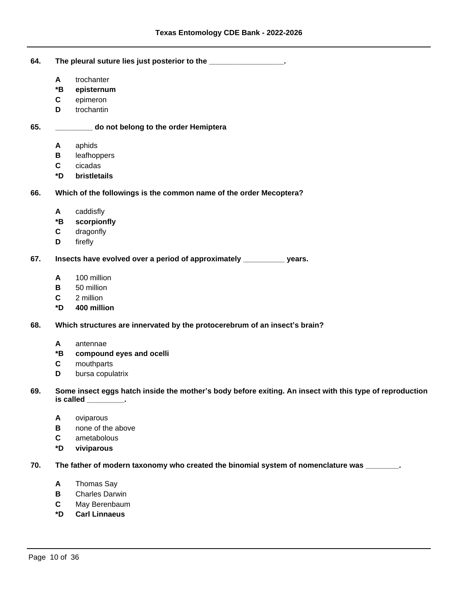| 64. | The pleural suture lies just posterior to the _________________.                                                                 |                          |  |
|-----|----------------------------------------------------------------------------------------------------------------------------------|--------------------------|--|
|     | A                                                                                                                                | trochanter               |  |
|     | *B                                                                                                                               | episternum               |  |
|     | C                                                                                                                                | epimeron                 |  |
|     | D                                                                                                                                | trochantin               |  |
| 65. | do not belong to the order Hemiptera                                                                                             |                          |  |
|     | A                                                                                                                                | aphids                   |  |
|     | В                                                                                                                                | leafhoppers              |  |
|     | $\mathbf c$                                                                                                                      | cicadas                  |  |
|     | *D                                                                                                                               | bristletails             |  |
| 66. | Which of the followings is the common name of the order Mecoptera?                                                               |                          |  |
|     | A                                                                                                                                | caddisfly                |  |
|     | *B                                                                                                                               | scorpionfly              |  |
|     | $\mathbf c$                                                                                                                      | dragonfly                |  |
|     | D                                                                                                                                | firefly                  |  |
| 67. | Insects have evolved over a period of approximately ___________ years.                                                           |                          |  |
|     | A                                                                                                                                | 100 million              |  |
|     | В                                                                                                                                | 50 million               |  |
|     | C                                                                                                                                | 2 million                |  |
|     | *D                                                                                                                               | 400 million              |  |
| 68. | Which structures are innervated by the protocerebrum of an insect's brain?                                                       |                          |  |
|     | A                                                                                                                                | antennae                 |  |
|     | *B                                                                                                                               | compound eyes and ocelli |  |
|     | C                                                                                                                                | mouthparts               |  |
|     | D                                                                                                                                | bursa copulatrix         |  |
| 69. | Some insect eggs hatch inside the mother's body before exiting. An insect with this type of reproduction<br>is called _________. |                          |  |
|     | A                                                                                                                                | oviparous                |  |
|     | В                                                                                                                                | none of the above        |  |
|     | C                                                                                                                                | ametabolous              |  |
|     | *D                                                                                                                               | viviparous               |  |
| 70. | The father of modern taxonomy who created the binomial system of nomenclature was _______.                                       |                          |  |
|     |                                                                                                                                  |                          |  |
|     | A                                                                                                                                | Thomas Say               |  |
|     | B                                                                                                                                | <b>Charles Darwin</b>    |  |

- **C** May Berenbaum
- **\*D Carl Linnaeus**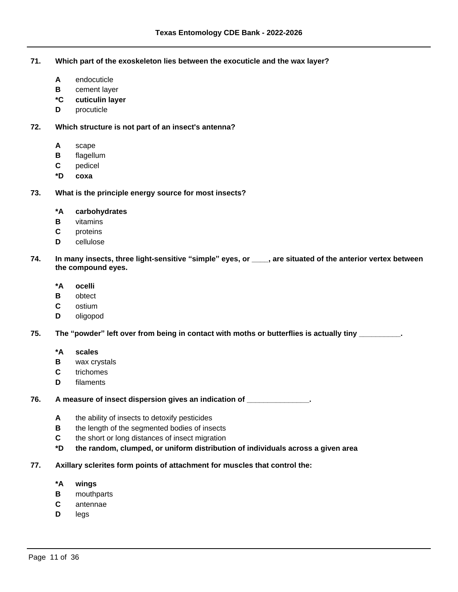**71. Which part of the exoskeleton lies between the exocuticle and the wax layer?**

- **A** endocuticle
- **B** cement layer
- **\*C cuticulin layer**
- **D** procuticle

# **72. Which structure is not part of an insect's antenna?**

- **A** scape
- **B** flagellum
- **C** pedicel
- **\*D coxa**

# **73. What is the principle energy source for most insects?**

- **\*A carbohydrates**
- **B** vitamins
- **C** proteins
- **D** cellulose

# **74. In many insects, three light-sensitive ³simple´eyes, or \_\_\_\_, are situated of the anterior vertex between the compound eyes.**

- **\*A ocelli**
- **B** obtect
- **C** ostium
- **D** oligopod

### **75.** The "powder" left over from being in contact with moths or butterflies is actually tiny \_\_\_\_\_\_\_\_\_.

- **\*A scales**
- **B** wax crystals
- **C** trichomes
- **D** filaments

# **76. A measure of insect dispersion gives an indication of \_\_\_\_\_\_\_\_\_\_\_\_\_\_\_.**

- **A** the ability of insects to detoxify pesticides
- **B** the length of the segmented bodies of insects
- **C** the short or long distances of insect migration
- **\*D the random, clumped, or uniform distribution of individuals across a given area**

# **77. Axillary sclerites form points of attachment for muscles that control the:**

- **\*A wings**
- **B** mouthparts
- **C** antennae
- **D** legs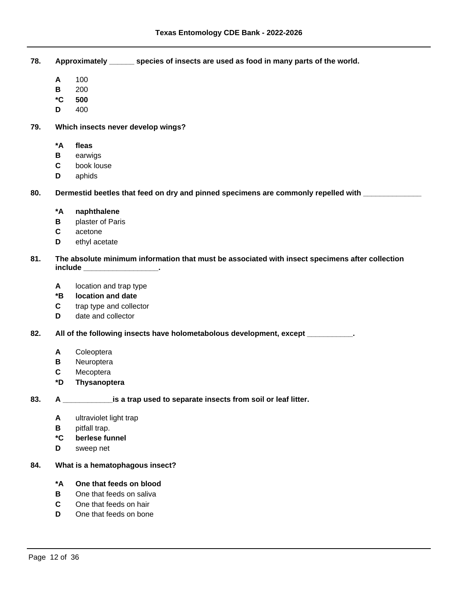- **78. Approximately \_\_\_\_\_\_ species of insects are used as food in many parts of the world.**
	- **A** 100
	- **B** 200
	- **\*C 500**
	- **D** 400
- **79. Which insects never develop wings?**
	- **\*A fleas**
	- **B** earwigs
	- **C** book louse
	- **D** aphids

 **80. Dermestid beetles that feed on dry and pinned specimens are commonly repelled with \_\_\_\_\_\_\_\_\_\_\_\_\_\_**

- **\*A naphthalene**
- **B** plaster of Paris
- **C** acetone
- **D** ethyl acetate

# **81. The absolute minimum information that must be associated with insect specimens after collection include \_\_\_\_\_\_\_\_\_\_\_\_\_\_\_\_\_\_.**

- **A** location and trap type
- **\*B location and date**
- **C** trap type and collector
- **D** date and collector

 **82. All of the following insects have holometabolous development, except \_\_\_\_\_\_\_\_\_\_\_.**

- **A** Coleoptera
- **B** Neuroptera
- **C** Mecoptera
- **\*D Thysanoptera**

# **83. A \_\_\_\_\_\_\_\_\_\_\_\_is a trap used to separate insects from soil or leaf litter.**

- **A** ultraviolet light trap
- **B** pitfall trap.
- **\*C berlese funnel**
- **D** sweep net
- **84. What is a hematophagous insect?**

### **\*A One that feeds on blood**

- **B** One that feeds on saliva
- **C** One that feeds on hair
- **D** One that feeds on bone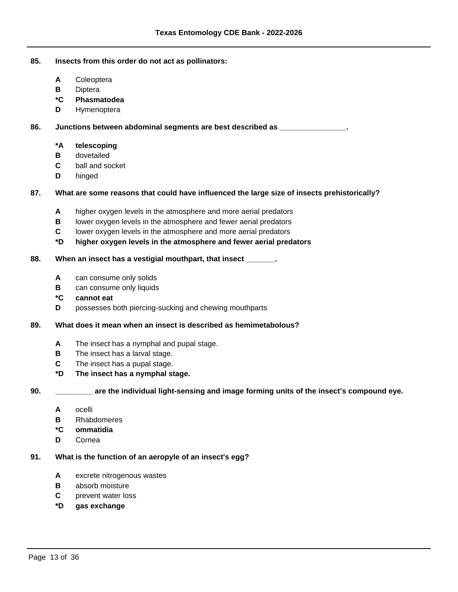### **85. Insects from this order do not act as pollinators:**

- **A** Coleoptera
- **B** Diptera
- **\*C Phasmatodea**
- **D** Hymenoptera

 **86. Junctions between abdominal segments are best described as \_\_\_\_\_\_\_\_\_\_\_\_\_\_\_\_.**

# **\*A telescoping**

- **B** dovetailed
- **C** ball and socket
- **D** hinged

# **87. What are some reasons that could have influenced the large size of insects prehistorically?**

- **A** higher oxygen levels in the atmosphere and more aerial predators
- **B** lower oxygen levels in the atmosphere and fewer aerial predators
- **C** lower oxygen levels in the atmosphere and more aerial predators
- **\*D higher oxygen levels in the atmosphere and fewer aerial predators**

#### **88. When an insect has a vestigial mouthpart, that insect \_\_\_\_\_\_\_.**

- **A** can consume only solids
- **B** can consume only liquids
- **\*C cannot eat**
- **D** possesses both piercing-sucking and chewing mouthparts

#### **89. What does it mean when an insect is described as hemimetabolous?**

- **A** The insect has a nymphal and pupal stage.
- **B** The insect has a larval stage.
- **C** The insect has a pupal stage.
- **\*D The insect has a nymphal stage.**
- 

 **90. \_\_\_\_\_\_\_\_\_** are the individual light-sensing and image forming units of the insect's compound eye.

- **A** ocelli
- **B** Rhabdomeres
- **\*C ommatidia**
- **D** Cornea

#### **91. What is the function of an aeropyle of an insect's egg?**

- **A** excrete nitrogenous wastes
- **B** absorb moisture
- **C** prevent water loss
- **\*D gas exchange**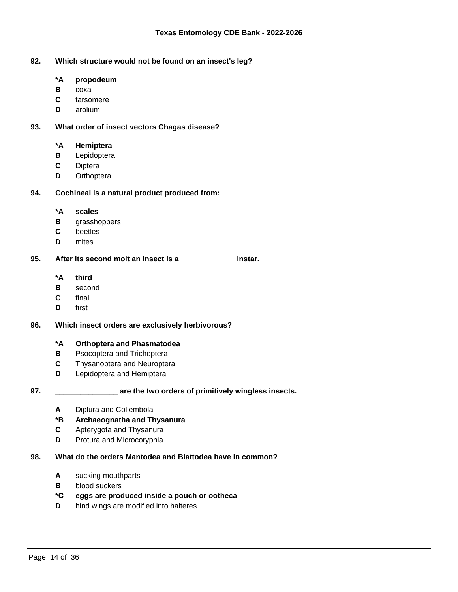- **92. Which structure would not be found on an insect's leg?**
	- **\*A propodeum**
	- **B** coxa
	- **C** tarsomere
	- **D** arolium

## **93. What order of insect vectors Chagas disease?**

# **\*A Hemiptera**

- **B** Lepidoptera
- **C** Diptera
- **D** Orthoptera

# **94. Cochineal is a natural product produced from:**

- **\*A scales**
- **B** grasshoppers
- **C** beetles
- **D** mites

# **95. After its second molt an insect is a \_\_\_\_\_\_\_\_\_\_\_\_\_ instar.**

- **\*A third**
- **B** second
- **C** final
- **D** first

### **96. Which insect orders are exclusively herbivorous?**

### **\*A Orthoptera and Phasmatodea**

- **B** Psocoptera and Trichoptera
- **C** Thysanoptera and Neuroptera
- **D** Lepidoptera and Hemiptera

# **97. \_\_\_\_\_\_\_\_\_\_\_\_\_\_\_ are the two orders of primitively wingless insects.**

**A** Diplura and Collembola

# **\*B Archaeognatha and Thysanura**

- **C** Apterygota and Thysanura
- **D** Protura and Microcoryphia

# **98. What do the orders Mantodea and Blattodea have in common?**

- **A** sucking mouthparts
- **B** blood suckers

# **\*C eggs are produced inside a pouch or ootheca**

**D** hind wings are modified into halteres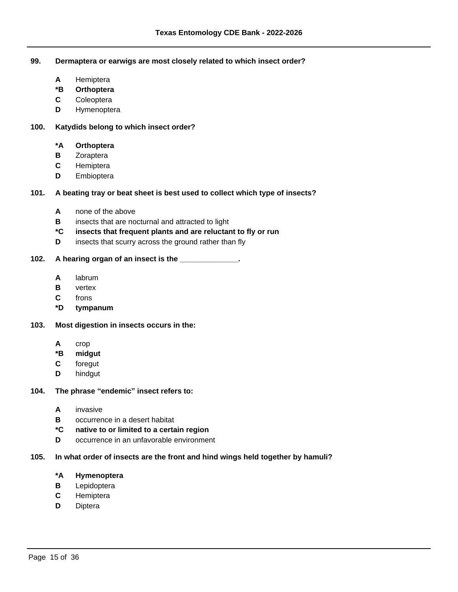**99. Dermaptera or earwigs are most closely related to which insect order?**

- **A** Hemiptera
- **\*B Orthoptera**
- **C** Coleoptera
- **D** Hymenoptera

### **100. Katydids belong to which insect order?**

# **\*A Orthoptera**

- **B** Zoraptera
- **C** Hemiptera
- **D** Embioptera

# **101. A beating tray or beat sheet is best used to collect which type of insects?**

- **A** none of the above
- **B** insects that are nocturnal and attracted to light
- **\*C insects that frequent plants and are reluctant to fly or run**
- **D** insects that scurry across the ground rather than fly

### **102. A hearing organ of an insect is the \_\_\_\_\_\_\_\_\_\_\_\_\_\_.**

- **A** labrum
- **B** vertex
- **C** frons
- **\*D tympanum**
- **103. Most digestion in insects occurs in the:**
	- **A** crop
	- **\*B midgut**
	- **C** foregut
	- **D** hindgut

# **104.** The phrase "endemic" insect refers to:

- **A** invasive
- **B** occurrence in a desert habitat
- **\*C native to or limited to a certain region**
- **D** occurrence in an unfavorable environment

# **105. In what order of insects are the front and hind wings held together by hamuli?**

- **\*A Hymenoptera**
- **B** Lepidoptera
- **C** Hemiptera
- **D** Diptera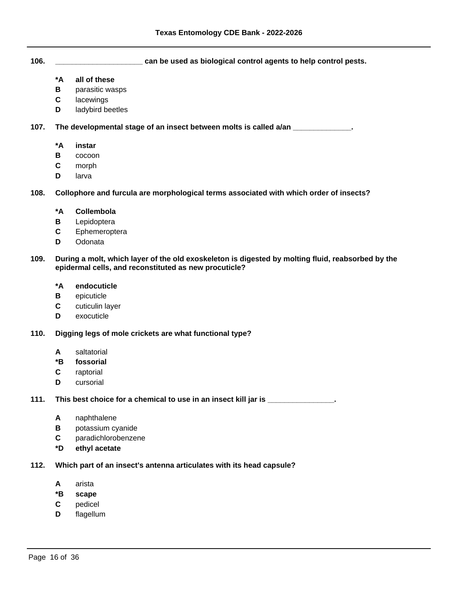**106. \_\_\_\_\_\_\_\_\_\_\_\_\_\_\_\_\_\_\_\_\_ can be used as biological control agents to help control pests.**

- **\*A all of these**
- **B** parasitic wasps
- **C** lacewings
- **D** ladybird beetles

 **107. The developmental stage of an insect between molts is called a/an \_\_\_\_\_\_\_\_\_\_\_\_\_\_.**

- **\*A instar**
- **B** cocoon
- **C** morph
- **D** larva

 **108. Collophore and furcula are morphological terms associated with which order of insects?**

- **\*A Collembola**
- **B** Lepidoptera
- **C** Ephemeroptera
- **D** Odonata

### **109. During a molt, which layer of the old exoskeleton is digested by molting fluid, reabsorbed by the epidermal cells, and reconstituted as new procuticle?**

- **\*A endocuticle**
- **B** epicuticle
- **C** cuticulin layer
- **D** exocuticle
- **110. Digging legs of mole crickets are what functional type?**
	- **A** saltatorial
	- **\*B fossorial**
	- **C** raptorial
	- **D** cursorial

 **111. This best choice for a chemical to use in an insect kill jar is \_\_\_\_\_\_\_\_\_\_\_\_\_\_\_\_.**

- **A** naphthalene
- **B** potassium cyanide
- **C** paradichlorobenzene
- **\*D ethyl acetate**

#### **112. Which part of an insect's antenna articulates with its head capsule?**

- **A** arista
- **\*B scape**
- **C** pedicel
- **D** flagellum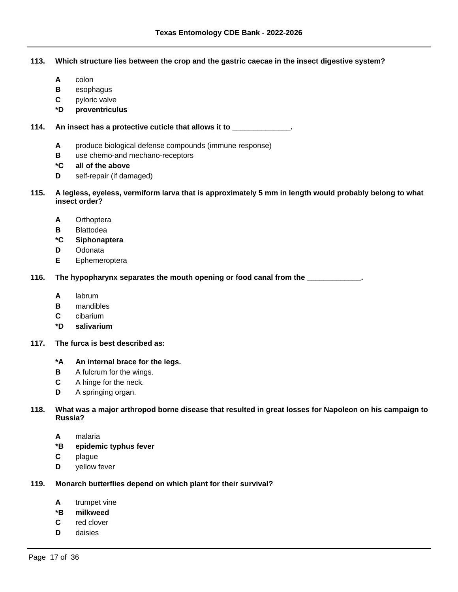# **113. Which structure lies between the crop and the gastric caecae in the insect digestive system?**

- **A** colon
- **B** esophagus
- **C** pyloric valve
- **\*D proventriculus**

 **114. An insect has a protective cuticle that allows it to \_\_\_\_\_\_\_\_\_\_\_\_\_\_.**

- **A** produce biological defense compounds (immune response)
- **B** use chemo-and mechano-receptors
- **\*C all of the above**
- **D** self-repair (if damaged)
- **115. A legless, eyeless, vermiform larva that is approximately 5 mm in length would probably belong to what insect order?**
	- **A** Orthoptera
	- **B** Blattodea
	- **\*C Siphonaptera**
	- **D** Odonata
	- **E** Ephemeroptera

 **116. The hypopharynx separates the mouth opening or food canal from the \_\_\_\_\_\_\_\_\_\_\_\_\_.**

- **A** labrum
- **B** mandibles
- **C** cibarium
- **\*D salivarium**
- **117. The furca is best described as:**
	- **\*A An internal brace for the legs.**
	- **B** A fulcrum for the wings.
	- **C** A hinge for the neck.
	- **D** A springing organ.

# **118. What was a major arthropod borne disease that resulted in great losses for Napoleon on his campaign to Russia?**

- **A** malaria
- **\*B epidemic typhus fever**
- **C** plague
- **D** yellow fever
- **119. Monarch butterflies depend on which plant for their survival?**
	- **A** trumpet vine
	- **\*B milkweed**
	- **C** red clover
	- **D** daisies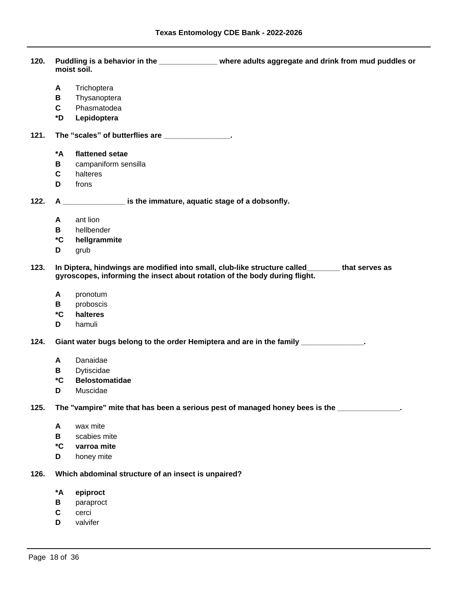**120. Puddling is a behavior in the \_\_\_\_\_\_\_\_\_\_\_\_\_\_ where adults aggregate and drink from mud puddles or moist soil.**

- **A** Trichoptera
- **B** Thysanoptera
- **C** Phasmatodea
- **\*D Lepidoptera**
- 121. The "scales" of butterflies are *\_\_\_\_\_\_\_\_\_\_\_\_\_\_\_\_\_***.** 
	- **\*A flattened setae**
	- **B** campaniform sensilla
	- **C** halteres
	- **D** frons

 **122. A \_\_\_\_\_\_\_\_\_\_\_\_\_\_\_ is the immature, aquatic stage of a dobsonfly.**

- **A** ant lion
- **B** hellbender
- **\*C hellgrammite**
- **D** grub
- **123. In Diptera, hindwings are modified into small, club-like structure called\_\_\_\_\_\_\_\_ that serves as gyroscopes, informing the insect about rotation of the body during flight.**
	- **A** pronotum
	- **B** proboscis
	- **\*C halteres**
	- **D** hamuli

 **124. Giant water bugs belong to the order Hemiptera and are in the family \_\_\_\_\_\_\_\_\_\_\_\_\_\_\_.**

- **A** Danaidae
- **B** Dytiscidae
- **\*C Belostomatidae**
- **D** Muscidae

 **125.** The "vampire" mite that has been a serious pest of managed honey bees is the  $\blacksquare$ 

- **A** wax mite
- **B** scabies mite
- **\*C varroa mite**
- **D** honey mite
- **126. Which abdominal structure of an insect is unpaired?**
	- **\*A epiproct**
	- **B** paraproct
	- **C** cerci
	- **D** valvifer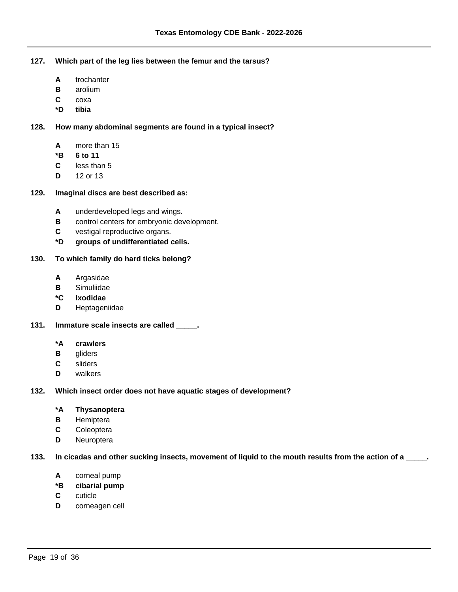**127. Which part of the leg lies between the femur and the tarsus?**

- **A** trochanter
- **B** arolium
- **C** coxa
- **\*D tibia**

 **128. How many abdominal segments are found in a typical insect?**

- **A** more than 15
- **\*B 6 to 11**
- **C** less than 5
- **D** 12 or 13

# **129. Imaginal discs are best described as:**

- **A** underdeveloped legs and wings.
- **B** control centers for embryonic development.
- **C** vestigal reproductive organs.
- **\*D groups of undifferentiated cells.**

# **130. To which family do hard ticks belong?**

- **A** Argasidae
- **B** Simuliidae
- **\*C Ixodidae**
- **D** Heptageniidae
- **131. Immature scale insects are called \_\_\_\_\_.**
	- **\*A crawlers**
	- **B** gliders
	- **C** sliders
	- **D** walkers

### **132. Which insect order does not have aquatic stages of development?**

# **\*A Thysanoptera**

- **B** Hemiptera
- **C** Coleoptera
- **D** Neuroptera

 **133. In cicadas and other sucking insects, movement of liquid to the mouth results from the action of a \_\_\_\_\_.**

- **A** corneal pump
- **\*B cibarial pump**
- **C** cuticle
- **D** corneagen cell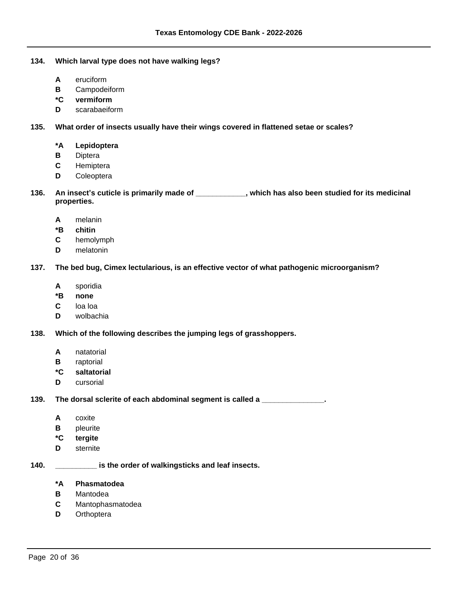## **134. Which larval type does not have walking legs?**

- **A** eruciform
- **B** Campodeiform
- **\*C vermiform**
- **D** scarabaeiform

## **135. What order of insects usually have their wings covered in flattened setae or scales?**

# **\*A Lepidoptera**

- **B** Diptera
- **C** Hemiptera
- **D** Coleoptera
- 136. An insect's cuticle is primarily made of \_\_\_\_\_\_\_\_\_\_, which has also been studied for its medicinal **properties.**
	- **A** melanin
	- **\*B chitin**
	- **C** hemolymph
	- **D** melatonin

# **137. The bed bug, Cimex lectularious, is an effective vector of what pathogenic microorganism?**

- **A** sporidia
- **\*B none**
- **C** loa loa
- **D** wolbachia

### **138. Which of the following describes the jumping legs of grasshoppers.**

- **A** natatorial
- **B** raptorial
- **\*C saltatorial**
- **D** cursorial

 **139. The dorsal sclerite of each abdominal segment is called a \_\_\_\_\_\_\_\_\_\_\_\_\_\_\_.**

- **A** coxite
- **B** pleurite
- **\*C tergite**
- **D** sternite

### **140. \_\_\_\_\_\_\_\_\_\_ is the order of walkingsticks and leaf insects.**

### **\*A Phasmatodea**

- **B** Mantodea
- **C** Mantophasmatodea
- **D** Orthoptera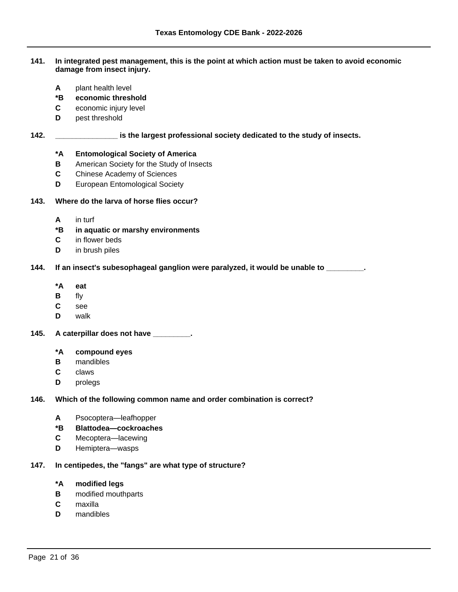### **141. In integrated pest management, this is the point at which action must be taken to avoid economic damage from insect injury.**

- **A** plant health level
- **\*B economic threshold**
- **C** economic injury level
- **D** pest threshold

# **142. \_\_\_\_\_\_\_\_\_\_\_\_\_\_\_ is the largest professional society dedicated to the study of insects.**

# **\*A Entomological Society of America**

- **B** American Society for the Study of Insects
- **C** Chinese Academy of Sciences
- **D** European Entomological Society

# **143. Where do the larva of horse flies occur?**

- **A** in turf
- **\*B in aquatic or marshy environments**
- **C** in flower beds
- **D** in brush piles

# **144. If an insect's subesophageal ganglion were paralyzed, it would be unable to \_\_\_\_\_\_\_\_\_.**

- **\*A eat**
- **B** fly
- **C** see
- **D** walk
- **145. A caterpillar does not have \_\_\_\_\_\_\_\_\_.**

### **\*A compound eyes**

- **B** mandibles
- **C** claws
- **D** prolegs

### **146. Which of the following common name and order combination is correct?**

- A Psocoptera-leafhopper
- **\*B Blattodea²cockroaches**
- **C** Mecoptera-lacewing
- **D** Hemiptera-wasps

# **147. In centipedes, the "fangs" are what type of structure?**

### **\*A modified legs**

- **B** modified mouthparts
- **C** maxilla
- **D** mandibles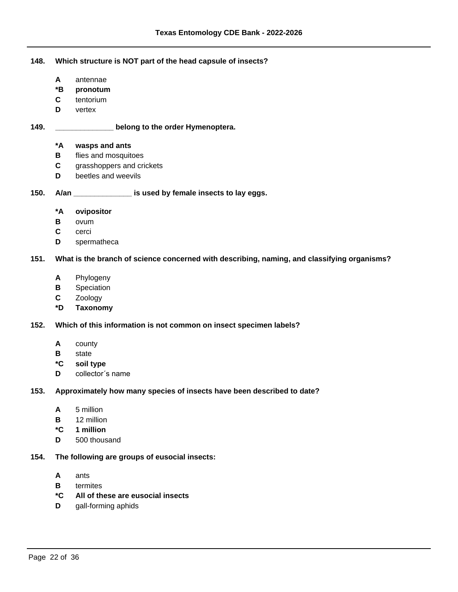**148. Which structure is NOT part of the head capsule of insects?**

- **A** antennae
- **\*B pronotum**
- **C** tentorium
- **D** vertex

# **149. \_\_\_\_\_\_\_\_\_\_\_\_\_\_ belong to the order Hymenoptera.**

# **\*A wasps and ants**

- **B** flies and mosquitoes
- **C** grasshoppers and crickets
- **D** beetles and weevils

# **150. A/an \_\_\_\_\_\_\_\_\_\_\_\_\_\_ is used by female insects to lay eggs.**

- **\*A ovipositor**
- **B** ovum
- **C** cerci
- **D** spermatheca

# **151. What is the branch of science concerned with describing, naming, and classifying organisms?**

- **A** Phylogeny
- **B** Speciation
- **C** Zoology
- **\*D Taxonomy**

### **152. Which of this information is not common on insect specimen labels?**

- **A** county
- **B** state
- **\*C soil type**
- **D** collector's name

# **153. Approximately how many species of insects have been described to date?**

- **A** 5 million
- **B** 12 million
- **\*C 1 million**
- **D** 500 thousand
- **154. The following are groups of eusocial insects:**
	- **A** ants
	- **B** termites
	- **\*C All of these are eusocial insects**
	- **D** gall-forming aphids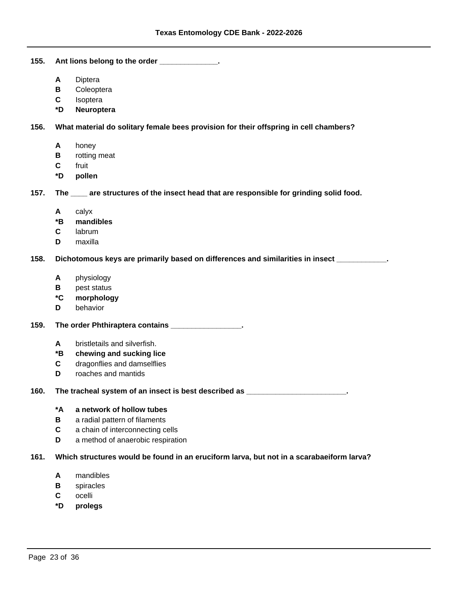**155. Ant lions belong to the order \_\_\_\_\_\_\_\_\_\_\_\_\_\_. A** Diptera **B** Coleoptera **C** Isoptera **\*D Neuroptera 156. What material do solitary female bees provision for their offspring in cell chambers? A** honey **B** rotting meat **C** fruit **\*D pollen**

 **157. The \_\_\_\_ are structures of the insect head that are responsible for grinding solid food.**

- **A** calyx
- **\*B mandibles**
- **C** labrum
- **D** maxilla

 **158. Dichotomous keys are primarily based on differences and similarities in insect \_\_\_\_\_\_\_\_\_\_\_\_.**

- **A** physiology
- **B** pest status
- **\*C morphology**
- **D** behavior

 **159. The order Phthiraptera contains \_\_\_\_\_\_\_\_\_\_\_\_\_\_\_\_\_.**

- **A** bristletails and silverfish.
- **\*B chewing and sucking lice**
- **C** dragonflies and damselflies
- **D** roaches and mantids

 **160. The tracheal system of an insect is best described as \_\_\_\_\_\_\_\_\_\_\_\_\_\_\_\_\_\_\_\_\_\_\_\_.**

# **\*A a network of hollow tubes**

- **B** a radial pattern of filaments
- **C** a chain of interconnecting cells
- **D** a method of anaerobic respiration

### **161. Which structures would be found in an eruciform larva, but not in a scarabaeiform larva?**

- **A** mandibles
- **B** spiracles
- **C** ocelli
- **\*D prolegs**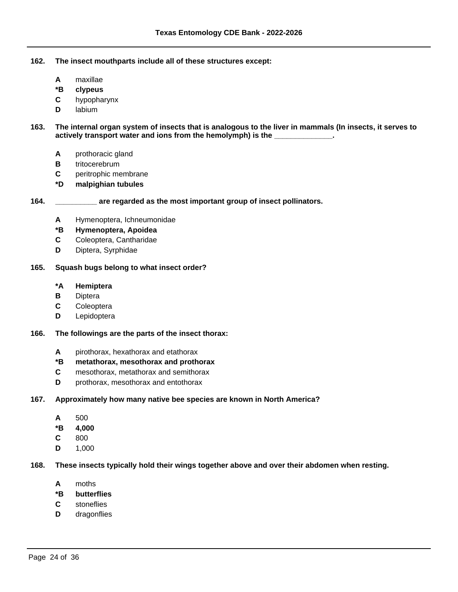- **162. The insect mouthparts include all of these structures except:**
	- **A** maxillae
	- **\*B clypeus**
	- **C** hypopharynx
	- **D** labium

 **163. The internal organ system of insects that is analogous to the liver in mammals (In insects, it serves to**  actively transport water and ions from the hemolymph) is the \_\_

- **A** prothoracic gland
- **B** tritocerebrum
- **C** peritrophic membrane
- **\*D malpighian tubules**

# **164. \_\_\_\_\_\_\_\_\_\_ are regarded as the most important group of insect pollinators.**

- **A** Hymenoptera, Ichneumonidae
- **\*B Hymenoptera, Apoidea**
- **C** Coleoptera, Cantharidae
- **D** Diptera, Syrphidae

## **165. Squash bugs belong to what insect order?**

- **\*A Hemiptera**
- **B** Diptera
- **C** Coleoptera
- **D** Lepidoptera

#### **166. The followings are the parts of the insect thorax:**

- **A** pirothorax, hexathorax and etathorax
- **\*B metathorax, mesothorax and prothorax**
- **C** mesothorax, metathorax and semithorax
- **D** prothorax, mesothorax and entothorax

#### **167. Approximately how many native bee species are known in North America?**

- **A** 500
- **\*B 4,000**
- **C** 800
- **D** 1,000

#### **168. These insects typically hold their wings together above and over their abdomen when resting.**

- **A** moths
- **\*B butterflies**
- **C** stoneflies
- **D** dragonflies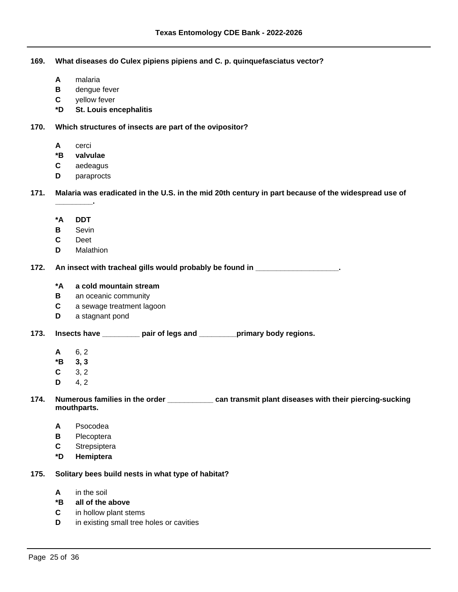**169. What diseases do Culex pipiens pipiens and C. p. quinquefasciatus vector?**

- **A** malaria
- **B** dengue fever
- **C** yellow fever
- **\*D St. Louis encephalitis**

 **170. Which structures of insects are part of the ovipositor?**

- **A** cerci
- **\*B valvulae**
- **C** aedeagus
- **D** paraprocts

 **171. Malaria was eradicated in the U.S. in the mid 20th century in part because of the widespread use of** 

**\*A DDT**

**\_\_\_\_\_\_\_\_\_.**

- **B** Sevin
- **C** Deet
- **D** Malathion

 **172. An insect with tracheal gills would probably be found in \_\_\_\_\_\_\_\_\_\_\_\_\_\_\_\_\_\_\_\_.**

# **\*A a cold mountain stream**

- **B** an oceanic community
- **C** a sewage treatment lagoon
- **D** a stagnant pond

 **173. Insects have \_\_\_\_\_\_\_\_\_ pair of legs and \_\_\_\_\_\_\_\_\_primary body regions.**

- **A** 6, 2
- **\*B 3, 3**
- **C** 3, 2
- **D** 4, 2

# **174. Numerous families in the order \_\_\_\_\_\_\_\_\_\_\_ can transmit plant diseases with their piercing-sucking mouthparts.**

- **A** Psocodea
- **B** Plecoptera
- **C** Strepsiptera
- **\*D Hemiptera**

# **175. Solitary bees build nests in what type of habitat?**

- **A** in the soil
- **\*B all of the above**
- **C** in hollow plant stems
- **D** in existing small tree holes or cavities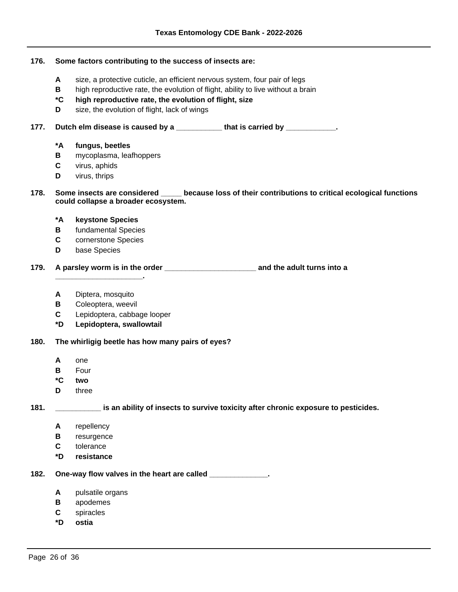| 176. | Some factors contributing to the success of insects are:                                                                                      |                                                                                    |  |
|------|-----------------------------------------------------------------------------------------------------------------------------------------------|------------------------------------------------------------------------------------|--|
|      | A                                                                                                                                             | size, a protective cuticle, an efficient nervous system, four pair of legs         |  |
|      | В                                                                                                                                             | high reproductive rate, the evolution of flight, ability to live without a brain   |  |
|      | $^\star \text{C}$                                                                                                                             | high reproductive rate, the evolution of flight, size                              |  |
|      | D                                                                                                                                             | size, the evolution of flight, lack of wings                                       |  |
|      |                                                                                                                                               |                                                                                    |  |
| 177. |                                                                                                                                               | Dutch elm disease is caused by a ___________that is carried by ___________.        |  |
|      | *A                                                                                                                                            | fungus, beetles                                                                    |  |
|      | В                                                                                                                                             | mycoplasma, leafhoppers                                                            |  |
|      | C                                                                                                                                             | virus, aphids                                                                      |  |
|      | D                                                                                                                                             | virus, thrips                                                                      |  |
| 178. | Some insects are considered _____ because loss of their contributions to critical ecological functions<br>could collapse a broader ecosystem. |                                                                                    |  |
|      | *A                                                                                                                                            | keystone Species                                                                   |  |
|      | В                                                                                                                                             | fundamental Species                                                                |  |
|      | C                                                                                                                                             | cornerstone Species                                                                |  |
|      | D                                                                                                                                             | base Species                                                                       |  |
| 179. |                                                                                                                                               |                                                                                    |  |
|      | Α                                                                                                                                             | Diptera, mosquito                                                                  |  |
|      | В                                                                                                                                             | Coleoptera, weevil                                                                 |  |
|      | C                                                                                                                                             | Lepidoptera, cabbage looper                                                        |  |
|      | *D                                                                                                                                            | Lepidoptera, swallowtail                                                           |  |
| 180. | The whirligig beetle has how many pairs of eyes?                                                                                              |                                                                                    |  |
|      | A                                                                                                                                             | one                                                                                |  |
|      | В                                                                                                                                             | Four                                                                               |  |
|      | *C                                                                                                                                            | two                                                                                |  |
|      | D                                                                                                                                             | three                                                                              |  |
| 181. |                                                                                                                                               | is an ability of insects to survive toxicity after chronic exposure to pesticides. |  |
|      | A                                                                                                                                             | repellency                                                                         |  |
|      | В                                                                                                                                             | resurgence                                                                         |  |
|      | C                                                                                                                                             | tolerance                                                                          |  |
|      | *D                                                                                                                                            | resistance                                                                         |  |
| 182. |                                                                                                                                               | One-way flow valves in the heart are called _____________.                         |  |
|      | A                                                                                                                                             | pulsatile organs                                                                   |  |
|      | В                                                                                                                                             | apodemes                                                                           |  |
|      | C                                                                                                                                             | spiracles                                                                          |  |

**\*D ostia**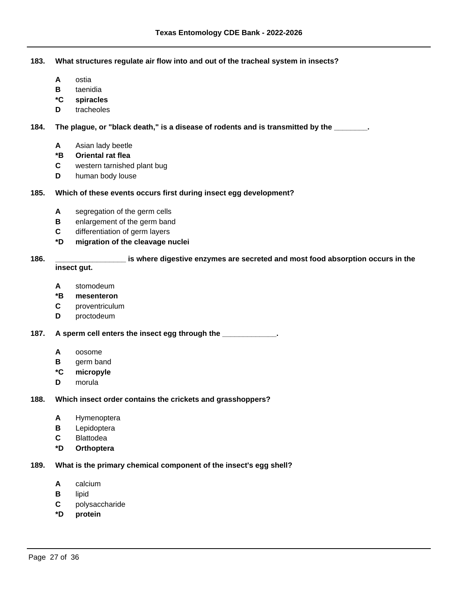**183. What structures regulate air flow into and out of the tracheal system in insects?**

- **A** ostia
- **B** taenidia
- **\*C spiracles**
- **D** tracheoles

 **184. The plague, or "black death," is a disease of rodents and is transmitted by the \_\_\_\_\_\_\_\_.**

- **A** Asian lady beetle
- **\*B Oriental rat flea**
- **C** western tarnished plant bug
- **D** human body louse

# **185. Which of these events occurs first during insect egg development?**

- **A** segregation of the germ cells
- **B** enlargement of the germ band
- **C** differentiation of germ layers
- **\*D migration of the cleavage nuclei**

#### **186. \_\_\_\_\_\_\_\_\_\_\_\_\_\_\_\_\_ is where digestive enzymes are secreted and most food absorption occurs in the insect gut.**

- **A** stomodeum
- **\*B mesenteron**
- **C** proventriculum
- **D** proctodeum

 **187. A sperm cell enters the insect egg through the \_\_\_\_\_\_\_\_\_\_\_\_\_.**

- **A** oosome
- **B** germ band
- **\*C micropyle**
- **D** morula

## **188. Which insect order contains the crickets and grasshoppers?**

- **A** Hymenoptera
- **B** Lepidoptera
- **C** Blattodea
- **\*D Orthoptera**

### **189. What is the primary chemical component of the insect's egg shell?**

- **A** calcium
- **B** lipid
- **C** polysaccharide
- **\*D protein**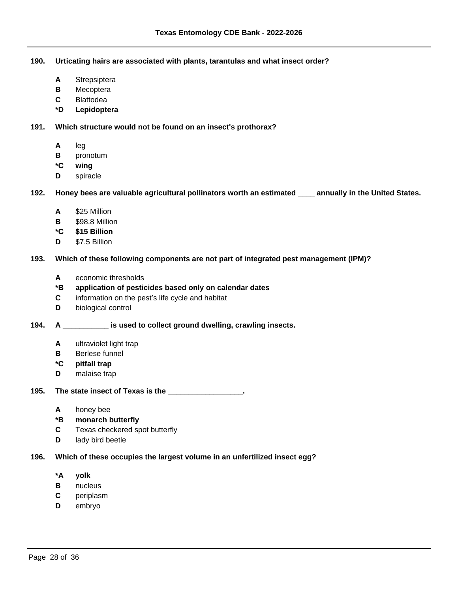**190. Urticating hairs are associated with plants, tarantulas and what insect order?**

- **A** Strepsiptera
- **B** Mecoptera
- **C** Blattodea
- **\*D Lepidoptera**

 **191. Which structure would not be found on an insect's prothorax?**

- **A** leg
- **B** pronotum
- **\*C wing**
- **D** spiracle

 **192. Honey bees are valuable agricultural pollinators worth an estimated \_\_\_\_ annually in the United States.**

- **A** \$25 Million
- **B** \$98.8 Million
- **\*C \$15 Billion**
- **D** \$7.5 Billion

 **193. Which of these following components are not part of integrated pest management (IPM)?**

- **A** economic thresholds
- **\*B application of pesticides based only on calendar dates**
- **C** information on the pest's life cycle and habitat
- **D** biological control

# **194. A \_\_\_\_\_\_\_\_\_\_\_ is used to collect ground dwelling, crawling insects.**

- **A** ultraviolet light trap
- **B** Berlese funnel
- **\*C pitfall trap**
- **D** malaise trap

 **195. The state insect of Texas is the \_\_\_\_\_\_\_\_\_\_\_\_\_\_\_\_\_\_.**

- **A** honey bee
- **\*B monarch butterfly**
- **C** Texas checkered spot butterfly
- **D** lady bird beetle

# **196. Which of these occupies the largest volume in an unfertilized insect egg?**

- **\*A yolk**
- **B** nucleus
- **C** periplasm
- **D** embryo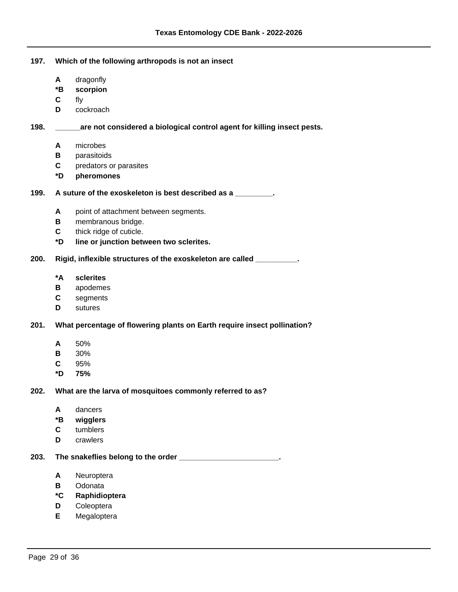#### **197. Which of the following arthropods is not an insect**

- **A** dragonfly
- **\*B scorpion**
- **C** fly
- **D** cockroach

# **198. \_\_\_\_\_\_are not considered a biological control agent for killing insect pests.**

- **A** microbes
- **B** parasitoids
- **C** predators or parasites
- **\*D pheromones**

# **199. A suture of the exoskeleton is best described as a \_\_\_\_\_\_\_\_\_.**

- **A** point of attachment between segments.
- **B** membranous bridge.
- **C** thick ridge of cuticle.
- **\*D line or junction between two sclerites.**

### **200. Rigid, inflexible structures of the exoskeleton are called \_\_\_\_\_\_\_\_\_\_.**

- **\*A sclerites**
- **B** apodemes
- **C** segments
- **D** sutures

### **201. What percentage of flowering plants on Earth require insect pollination?**

- **A** 50%
- **B** 30%
- **C** 95%
- **\*D 75%**

### **202. What are the larva of mosquitoes commonly referred to as?**

- **A** dancers
- **\*B wigglers**
- **C** tumblers
- **D** crawlers

 **203. The snakeflies belong to the order \_\_\_\_\_\_\_\_\_\_\_\_\_\_\_\_\_\_\_\_\_\_\_\_.**

- **A** Neuroptera
- **B** Odonata
- **\*C Raphidioptera**
- **D** Coleoptera
- **E** Megaloptera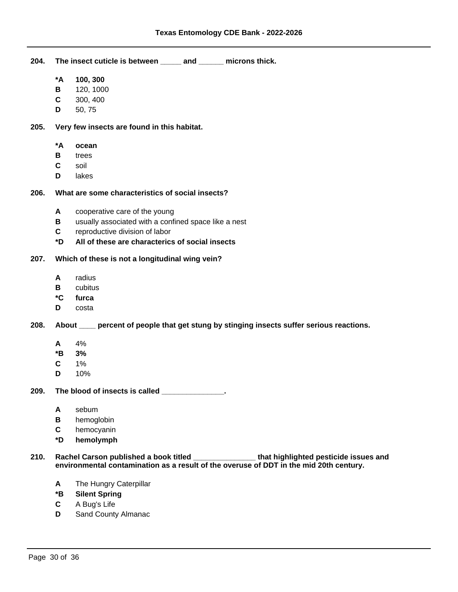**204. The insect cuticle is between \_\_\_\_\_ and \_\_\_\_\_\_ microns thick.**

- **\*A 100, 300**
- **B** 120, 1000
- **C** 300, 400
- **D** 50, 75

## **205. Very few insects are found in this habitat.**

- **\*A ocean**
- **B** trees
- **C** soil
- **D** lakes

# **206. What are some characteristics of social insects?**

- **A** cooperative care of the young
- **B** usually associated with a confined space like a nest
- **C** reproductive division of labor
- **\*D All of these are characterics of social insects**

# **207. Which of these is not a longitudinal wing vein?**

- **A** radius
- **B** cubitus
- **\*C furca**
- **D** costa

# **208. About \_\_\_\_ percent of people that get stung by stinging insects suffer serious reactions.**

- **A** 4%
- **\*B 3%**
- **C** 1%
- **D** 10%

 **209. The blood of insects is called \_\_\_\_\_\_\_\_\_\_\_\_\_\_\_.**

- **A** sebum
- **B** hemoglobin
- **C** hemocyanin
- **\*D hemolymph**

 **210. Rachel Carson published a book titled \_\_\_\_\_\_\_\_\_\_\_\_\_\_\_ that highlighted pesticide issues and environmental contamination as a result of the overuse of DDT in the mid 20th century.**

- **A** The Hungry Caterpillar
- **\*B Silent Spring**
- **C** A Bug's Life
- **D** Sand County Almanac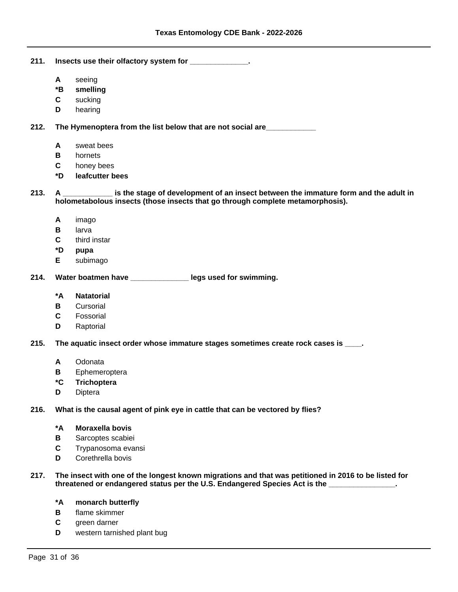- **211. Insects use their olfactory system for \_\_\_\_\_\_\_\_\_\_\_\_\_\_.**
	- **A** seeing
	- **\*B smelling**
	- **C** sucking
	- **D** hearing

 **212. The Hymenoptera from the list below that are not social are\_\_\_\_\_\_\_\_\_\_\_\_**

- **A** sweat bees
- **B** hornets
- **C** honey bees
- **\*D leafcutter bees**

 **213. A \_\_\_\_\_\_\_\_\_\_\_\_ is the stage of development of an insect between the immature form and the adult in holometabolous insects (those insects that go through complete metamorphosis).**

- **A** imago
- **B** larva
- **C** third instar
- **\*D pupa**
- **E** subimago

 **214. Water boatmen have \_\_\_\_\_\_\_\_\_\_\_\_\_\_ legs used for swimming.**

- **\*A Natatorial**
- **B** Cursorial
- **C** Fossorial
- **D** Raptorial

 **215. The aquatic insect order whose immature stages sometimes create rock cases is \_\_\_\_.**

- **A** Odonata
- **B** Ephemeroptera
- **\*C Trichoptera**
- **D** Diptera
- **216. What is the causal agent of pink eye in cattle that can be vectored by flies?**
	- **\*A Moraxella bovis**
	- **B** Sarcoptes scabiei
	- **C** Trypanosoma evansi
	- **D** Corethrella bovis
- **217. The insect with one of the longest known migrations and that was petitioned in 2016 to be listed for threatened or endangered status per the U.S. Endangered Species Act is the \_\_\_\_\_\_\_\_\_\_\_\_\_\_\_\_.**

#### **\*A monarch butterfly**

- **B** flame skimmer
- **C** green darner
- **D** western tarnished plant bug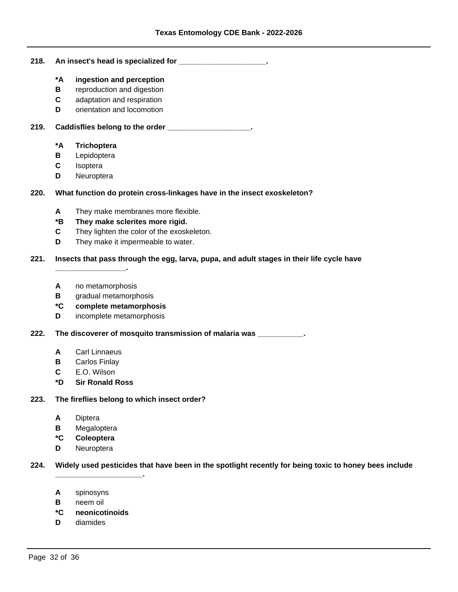#### **218. An insect's head is specialized for \_\_\_\_\_\_\_\_\_\_\_\_\_\_\_\_\_\_\_\_\_.**

- **\*A ingestion and perception**
- **B** reproduction and digestion
- **C** adaptation and respiration
- **D** orientation and locomotion

 **219. Caddisflies belong to the order \_\_\_\_\_\_\_\_\_\_\_\_\_\_\_\_\_\_\_\_.**

# **\*A Trichoptera**

- **B** Lepidoptera
- **C** Isoptera
- **D** Neuroptera

# **220. What function do protein cross-linkages have in the insect exoskeleton?**

- **A** They make membranes more flexible.
- **\*B They make sclerites more rigid.**
- **C** They lighten the color of the exoskeleton.
- **D** They make it impermeable to water.

# **221. Insects that pass through the egg, larva, pupa, and adult stages in their life cycle have**

**A** no metamorphosis

**\_\_\_\_\_\_\_\_\_\_\_\_\_\_\_\_\_.**

- **B** gradual metamorphosis
- **\*C complete metamorphosis**
- **D** incomplete metamorphosis

 **222. The discoverer of mosquito transmission of malaria was \_\_\_\_\_\_\_\_\_\_\_.**

- **A** Carl Linnaeus
- **B** Carlos Finlay
- **C** E.O. Wilson
- **\*D Sir Ronald Ross**

### **223. The fireflies belong to which insect order?**

**\_\_\_\_\_\_\_\_\_\_\_\_\_\_\_\_\_\_\_\_\_.**

- **A** Diptera
- **B** Megaloptera
- **\*C Coleoptera**
- **D** Neuroptera

### **224. Widely used pesticides that have been in the spotlight recently for being toxic to honey bees include**

- **A** spinosyns
- **B** neem oil
- **\*C neonicotinoids**
- **D** diamides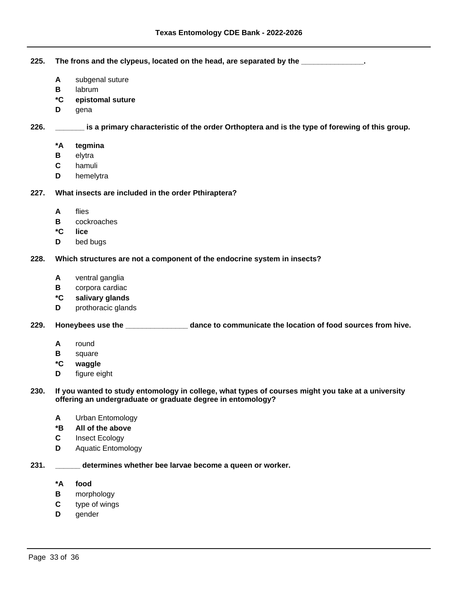**225. The frons and the clypeus, located on the head, are separated by the \_\_\_\_\_\_\_\_\_\_\_\_\_\_\_.**

- **A** subgenal suture
- **B** labrum
- **\*C epistomal suture**
- **D** gena

 **226. \_\_\_\_\_\_\_ is a primary characteristic of the order Orthoptera and is the type of forewing of this group.**

- **\*A tegmina**
- **B** elytra
- **C** hamuli
- **D** hemelytra

# **227. What insects are included in the order Pthiraptera?**

- **A** flies
- **B** cockroaches
- **\*C lice**
- **D** bed bugs

# **228. Which structures are not a component of the endocrine system in insects?**

- **A** ventral ganglia
- **B** corpora cardiac
- **\*C salivary glands**
- **D** prothoracic glands

### **229. Honeybees use the \_\_\_\_\_\_\_\_\_\_\_\_\_\_\_ dance to communicate the location of food sources from hive.**

- **A** round
- **B** square
- **\*C waggle**
- **D** figure eight

 **230. If you wanted to study entomology in college, what types of courses might you take at a university offering an undergraduate or graduate degree in entomology?**

- **A** Urban Entomology
- **\*B All of the above**
- **C** Insect Ecology
- **D** Aquatic Entomology
- **231. \_\_\_\_\_\_ determines whether bee larvae become a queen or worker.**
	- **\*A food**
	- **B** morphology
	- **C** type of wings
	- **D** gender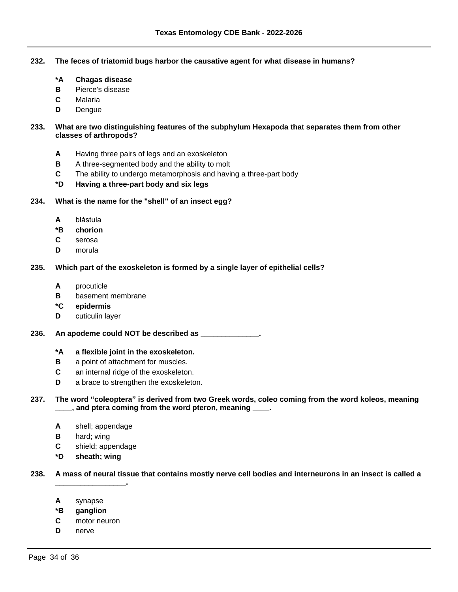- **232. The feces of triatomid bugs harbor the causative agent for what disease in humans?**
	- **\*A Chagas disease**
	- **B** Pierce's disease
	- **C** Malaria
	- **D** Dengue

# **233. What are two distinguishing features of the subphylum Hexapoda that separates them from other classes of arthropods?**

- **A** Having three pairs of legs and an exoskeleton
- **B** A three-segmented body and the ability to molt
- **C** The ability to undergo metamorphosis and having a three-part body
- **\*D Having a three-part body and six legs**

## **234. What is the name for the "shell" of an insect egg?**

- **A** blástula
- **\*B chorion**
- **C** serosa
- **D** morula

# **235. Which part of the exoskeleton is formed by a single layer of epithelial cells?**

- **A** procuticle
- **B** basement membrane
- **\*C epidermis**
- **D** cuticulin layer
- **236. An apodeme could NOT be described as \_\_\_\_\_\_\_\_\_\_\_\_\_\_.**
	- **\*A a flexible joint in the exoskeleton.**
	- **B** a point of attachment for muscles.
	- **C** an internal ridge of the exoskeleton.
	- **D** a brace to strengthen the exoskeleton.

# **237. The word ³coleoptera´is derived from two Greek words, coleo coming from the word koleos, meaning**  , and ptera coming from the word pteron, meaning  $\blacksquare$ .

- **A** shell; appendage
- **B** hard; wing
- **C** shield; appendage
- **\*D sheath; wing**

**\_\_\_\_\_\_\_\_\_\_\_\_\_\_\_\_\_.**

### **238. A mass of neural tissue that contains mostly nerve cell bodies and interneurons in an insect is called a**

- **A** synapse
- **\*B ganglion**
- **C** motor neuron
- **D** nerve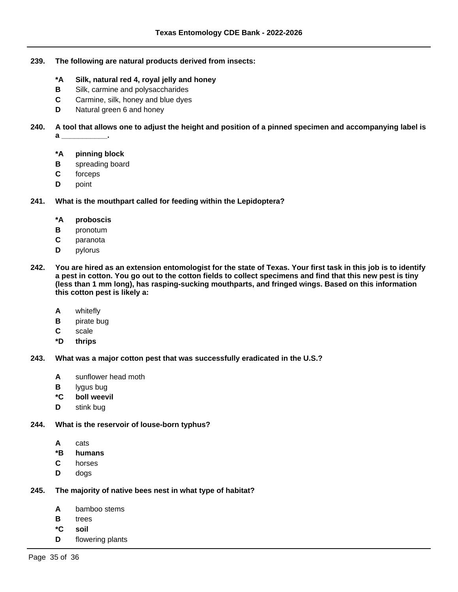- **239. The following are natural products derived from insects:**
	- **\*A Silk, natural red 4, royal jelly and honey**
	- **B** Silk, carmine and polysaccharides
	- **C** Carmine, silk, honey and blue dyes
	- **D** Natural green 6 and honey
- **240. A tool that allows one to adjust the height and position of a pinned specimen and accompanying label is a \_\_\_\_\_\_\_\_\_\_\_.**
	- **\*A pinning block**
	- **B** spreading board
	- **C** forceps
	- **D** point

# **241. What is the mouthpart called for feeding within the Lepidoptera?**

- **\*A proboscis**
- **B** pronotum
- **C** paranota
- **D** pylorus
- **242. You are hired as an extension entomologist for the state of Texas. Your first task in this job is to identify a pest in cotton. You go out to the cotton fields to collect specimens and find that this new pest is tiny (less than 1 mm long), has rasping-sucking mouthparts, and fringed wings. Based on this information this cotton pest is likely a:**
	- **A** whitefly
	- **B** pirate bug
	- **C** scale
	- **\*D thrips**
- **243. What was a major cotton pest that was successfully eradicated in the U.S.?**
	- **A** sunflower head moth
	- **B** lygus bug
	- **\*C boll weevil**
	- **D** stink bug
- **244. What is the reservoir of louse-born typhus?**
	- **A** cats
	- **\*B humans**
	- **C** horses
	- **D** dogs

### **245. The majority of native bees nest in what type of habitat?**

- **A** bamboo stems
- **B** trees
- **\*C soil**
- **D** flowering plants